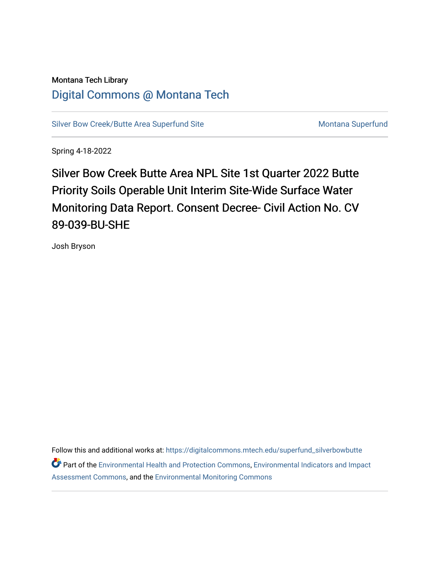### Montana Tech Library [Digital Commons @ Montana Tech](https://digitalcommons.mtech.edu/)

[Silver Bow Creek/Butte Area Superfund Site](https://digitalcommons.mtech.edu/superfund_silverbowbutte) Montana Superfund

Spring 4-18-2022

Silver Bow Creek Butte Area NPL Site 1st Quarter 2022 Butte Priority Soils Operable Unit Interim Site-Wide Surface Water Monitoring Data Report. Consent Decree- Civil Action No. CV 89-039-BU-SHE

Josh Bryson

Follow this and additional works at: [https://digitalcommons.mtech.edu/superfund\\_silverbowbutte](https://digitalcommons.mtech.edu/superfund_silverbowbutte?utm_source=digitalcommons.mtech.edu%2Fsuperfund_silverbowbutte%2F220&utm_medium=PDF&utm_campaign=PDFCoverPages) Part of the [Environmental Health and Protection Commons,](http://network.bepress.com/hgg/discipline/172?utm_source=digitalcommons.mtech.edu%2Fsuperfund_silverbowbutte%2F220&utm_medium=PDF&utm_campaign=PDFCoverPages) [Environmental Indicators and Impact](http://network.bepress.com/hgg/discipline/1015?utm_source=digitalcommons.mtech.edu%2Fsuperfund_silverbowbutte%2F220&utm_medium=PDF&utm_campaign=PDFCoverPages) [Assessment Commons,](http://network.bepress.com/hgg/discipline/1015?utm_source=digitalcommons.mtech.edu%2Fsuperfund_silverbowbutte%2F220&utm_medium=PDF&utm_campaign=PDFCoverPages) and the [Environmental Monitoring Commons](http://network.bepress.com/hgg/discipline/931?utm_source=digitalcommons.mtech.edu%2Fsuperfund_silverbowbutte%2F220&utm_medium=PDF&utm_campaign=PDFCoverPages)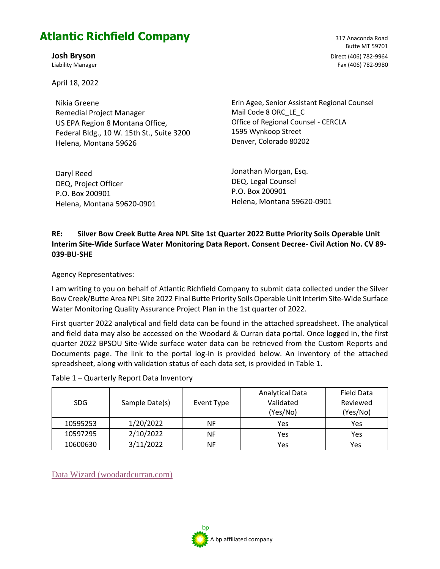# **Atlantic Richfield Company**

April 18, 2022

Nikia Greene Remedial Project Manager US EPA Region 8 Montana Office, Federal Bldg., 10 W. 15th St., Suite 3200 Helena, Montana 59626

Erin Agee, Senior Assistant Regional Counsel Mail Code 8 ORC\_LE\_C Office of Regional Counsel - CERCLA 1595 Wynkoop Street Denver, Colorado 80202

| Daryl Reed                 |  |
|----------------------------|--|
| DEQ, Project Officer       |  |
| P.O. Box 200901            |  |
| Helena, Montana 59620-0901 |  |

Jonathan Morgan, Esq. DEQ, Legal Counsel P.O. Box 200901 Helena, Montana 59620-0901

#### **RE: Silver Bow Creek Butte Area NPL Site 1st Quarter 2022 Butte Priority Soils Operable Unit Interim Site-Wide Surface Water Monitoring Data Report. Consent Decree- Civil Action No. CV 89- 039-BU-SHE**

Agency Representatives:

I am writing to you on behalf of Atlantic Richfield Company to submit data collected under the Silver Bow Creek/Butte Area NPL Site 2022 Final Butte Priority Soils Operable Unit Interim Site-Wide Surface Water Monitoring Quality Assurance Project Plan in the 1st quarter of 2022.

First quarter 2022 analytical and field data can be found in the attached spreadsheet. The analytical and field data may also be accessed on the Woodard & Curran data portal. Once logged in, the first quarter 2022 BPSOU Site-Wide surface water data can be retrieved from the Custom Reports and Documents page. The link to the portal log-in is provided below. An inventory of the attached spreadsheet, along with validation status of each data set, is provided in Table 1.

|            |                |            | <b>Analytical Data</b> | Field Data |
|------------|----------------|------------|------------------------|------------|
| <b>SDG</b> | Sample Date(s) | Event Type | Validated              | Reviewed   |
|            |                |            | (Yes/No)               | (Yes/No)   |
| 10595253   | 1/20/2022      | NF         | Yes                    | Yes        |
| 10597295   | 2/10/2022      | NF         | Yes                    | Yes        |
| 10600630   | 3/11/2022      | NF         | Yes                    | Yes        |

[Data Wizard \(woodardcurran.com\)](https://datasite.woodardcurran.com/Apps/DataWizard?__cwid__=1649275555576_8129)



317 Anaconda Road Butte MT 59701 **Josh Bryson** Direct (406) 782-9964 Liability Manager **Fax (406)** 782-9980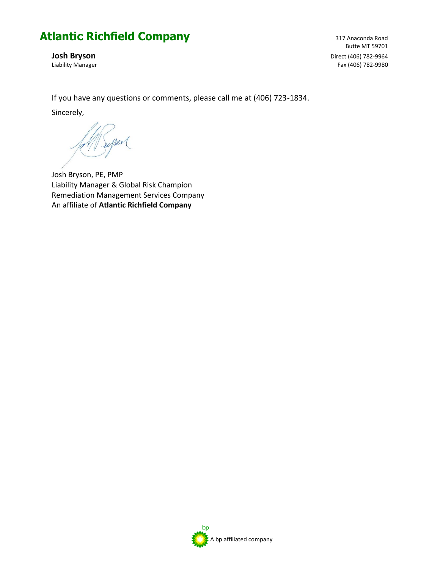# **Atlantic Richfield Company**

317 Anaconda Road Butte MT 59701 **Josh Bryson** Direct (406) 782-9964 Liability Manager **Fax** (406) 782-9980

If you have any questions or comments, please call me at (406) 723-1834.

Sincerely,

per(

Josh Bryson, PE, PMP Liability Manager & Global Risk Champion Remediation Management Services Company An affiliate of **Atlantic Richfield Company**

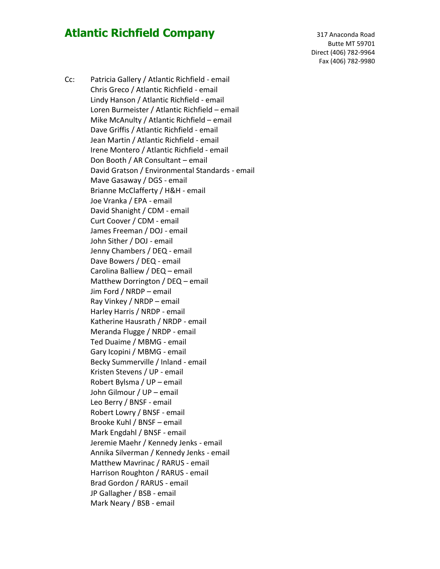## **Atlantic Richfield Company** 317 Anaconda Road

Butte MT 59701 Direct (406) 782-9964 Fax (406) 782-9980

Cc: Patricia Gallery / Atlantic Richfield - email Chris Greco / Atlantic Richfield - email Lindy Hanson / Atlantic Richfield - email Loren Burmeister / Atlantic Richfield – email Mike McAnulty / Atlantic Richfield – email Dave Griffis / Atlantic Richfield - email Jean Martin / Atlantic Richfield - email Irene Montero / Atlantic Richfield - email Don Booth / AR Consultant – email David Gratson / Environmental Standards - email Mave Gasaway / DGS - email Brianne McClafferty / H&H - email Joe Vranka / EPA - email David Shanight / CDM - email Curt Coover / CDM - email James Freeman / DOJ - email John Sither / DOJ - email Jenny Chambers / DEQ - email Dave Bowers / DEQ - email Carolina Balliew / DEQ – email Matthew Dorrington / DEQ – email Jim Ford / NRDP – email Ray Vinkey / NRDP – email Harley Harris / NRDP - email Katherine Hausrath / NRDP - email Meranda Flugge / NRDP - email Ted Duaime / MBMG - email Gary Icopini / MBMG - email Becky Summerville / Inland - email Kristen Stevens / UP - email Robert Bylsma / UP – email John Gilmour / UP – email Leo Berry / BNSF - email Robert Lowry / BNSF - email Brooke Kuhl / BNSF – email Mark Engdahl / BNSF - email Jeremie Maehr / Kennedy Jenks - email Annika Silverman / Kennedy Jenks - email Matthew Mavrinac / RARUS - email Harrison Roughton / RARUS - email Brad Gordon / RARUS - email JP Gallagher / BSB - email Mark Neary / BSB - email